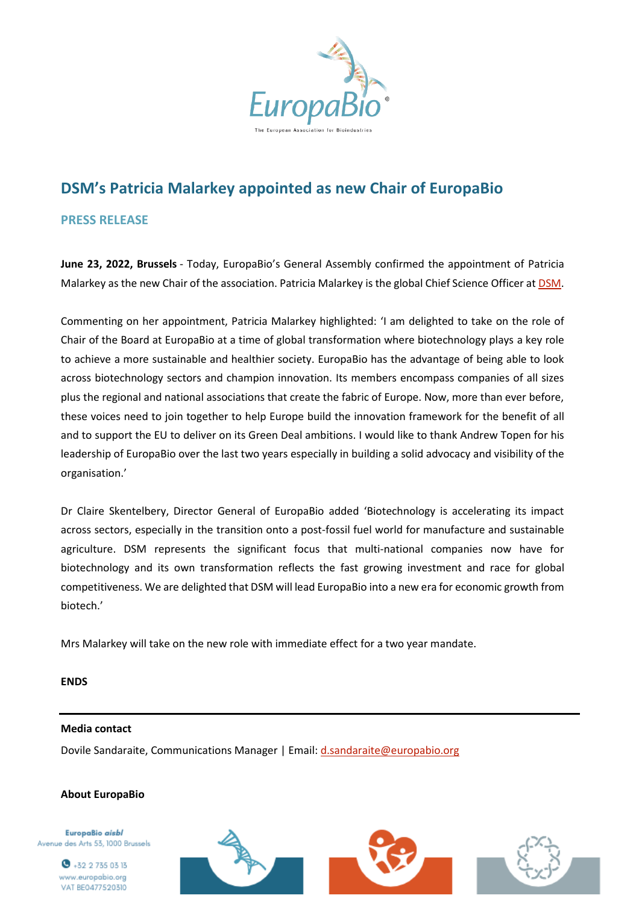

# **DSM's Patricia Malarkey appointed as new Chair of EuropaBio**

## **PRESS RELEASE**

**June 23, 2022, Brussels** - Today, EuropaBio's General Assembly confirmed the appointment of Patricia Malarkey as the new Chair of the association. Patricia Malarkey is the global Chief Science Officer at **DSM**.

Commenting on her appointment, Patricia Malarkey highlighted: 'I am delighted to take on the role of Chair of the Board at EuropaBio at a time of global transformation where biotechnology plays a key role to achieve a more sustainable and healthier society. EuropaBio has the advantage of being able to look across biotechnology sectors and champion innovation. Its members encompass companies of all sizes plus the regional and national associations that create the fabric of Europe. Now, more than ever before, these voices need to join together to help Europe build the innovation framework for the benefit of all and to support the EU to deliver on its Green Deal ambitions. I would like to thank Andrew Topen for his leadership of EuropaBio over the last two years especially in building a solid advocacy and visibility of the organisation.'

Dr Claire Skentelbery, Director General of EuropaBio added 'Biotechnology is accelerating its impact across sectors, especially in the transition onto a post-fossil fuel world for manufacture and sustainable agriculture. DSM represents the significant focus that multi-national companies now have for biotechnology and its own transformation reflects the fast growing investment and race for global competitiveness. We are delighted that DSM will lead EuropaBio into a new era for economic growth from biotech.'

Mrs Malarkey will take on the new role with immediate effect for a two year mandate.

### **ENDS**

### **Media contact**

Dovile Sandaraite, Communications Manager | Email[: d.sandaraite@europabio.org](mailto:d.sandaraite@europabio.org)

### **About EuropaBio**

EuropaBio aisbl Avenue des Arts 53, 1000 Brussels

> $\bullet$  +32 2 735 03 13 www.europabio.org VAT BE0477520310